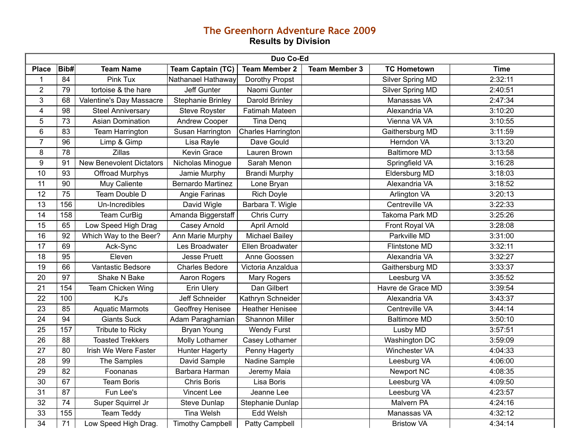## **The Greenhorn Adventure Race 2009 Results by Division**

| Duo Co-Ed       |                 |                                 |                          |                        |                      |                      |             |
|-----------------|-----------------|---------------------------------|--------------------------|------------------------|----------------------|----------------------|-------------|
| <b>Place</b>    | Bib#            | <b>Team Name</b>                | <b>Team Captain (TC)</b> | <b>Team Member 2</b>   | <b>Team Member 3</b> | <b>TC Hometown</b>   | <b>Time</b> |
| 1               | 84              | Pink Tux                        | Nathanael Hathaway       | Dorothy Propst         |                      | Silver Spring MD     | 2:32:11     |
| $\overline{2}$  | 79              | tortoise & the hare             | Jeff Gunter              | Naomi Gunter           |                      | Silver Spring MD     | 2:40:51     |
| $\mathfrak{S}$  | 68              | Valentine's Day Massacre        | <b>Stephanie Brinley</b> | Darold Brinley         |                      | Manassas VA          | 2:47:34     |
| $\overline{4}$  | 98              | <b>Steel Anniversary</b>        | <b>Steve Royster</b>     | <b>Fatimah Mateen</b>  |                      | Alexandria VA        | 3:10:20     |
| 5               | 73              | <b>Asian Domination</b>         | <b>Andrew Cooper</b>     | Tina Denq              |                      | Vienna VA VA         | 3:10:55     |
| 6               | 83              | Team Harrington                 | Susan Harrington         | Charles Harrington     |                      | Gaithersburg MD      | 3:11:59     |
| $\overline{7}$  | 96              | Limp & Gimp                     | Lisa Rayle               | Dave Gould             |                      | Herndon VA           | 3:13:20     |
| 8               | 78              | <b>Zillas</b>                   | Kevin Grace              | Lauren Brown           |                      | <b>Baltimore MD</b>  | 3:13:58     |
| 9               | 91              | <b>New Benevolent Dictators</b> | Nicholas Minogue         | Sarah Menon            |                      | Springfield VA       | 3:16:28     |
| $\overline{10}$ | 93              | Offroad Murphys                 | Jamie Murphy             | <b>Brandi Murphy</b>   |                      | Eldersburg MD        | 3:18:03     |
| 11              | 90              | Muy Caliente                    | Bernardo Martinez        | Lone Bryan             |                      | Alexandria VA        | 3:18:52     |
| 12              | $\overline{75}$ | Team Double D                   | Angie Farinas            | <b>Rich Doyle</b>      |                      | Arlington VA         | 3:20:13     |
| 13              | 156             | Un-Incredibles                  | David Wigle              | Barbara T. Wigle       |                      | Centreville VA       | 3:22:33     |
| 14              | 158             | <b>Team CurBig</b>              | Amanda Biggerstaff       | Chris Curry            |                      | Takoma Park MD       | 3:25:26     |
| 15              | 65              | Low Speed High Drag             | Casey Arnold             | April Arnold           |                      | Front Royal VA       | 3:28:08     |
| 16              | 92              | Which Way to the Beer?          | Ann Marie Murphy         | <b>Michael Bailey</b>  |                      | Parkville MD         | 3:31:00     |
| $\overline{17}$ | 69              | Ack-Sync                        | Les Broadwater           | Ellen Broadwater       |                      | Flintstone MD        | 3:32:11     |
| 18              | 95              | Eleven                          | <b>Jesse Pruett</b>      | Anne Goossen           |                      | Alexandria VA        | 3:32:27     |
| 19              | 66              | Vantastic Bedsore               | <b>Charles Bedore</b>    | Victoria Anzaldua      |                      | Gaithersburg MD      | 3:33:37     |
| 20              | $\overline{97}$ | Shake N Bake                    | Aaron Rogers             | Mary Rogers            |                      | Leesburg VA          | 3:35:52     |
| 21              | 154             | Team Chicken Wing               | Erin Ulery               | Dan Gilbert            |                      | Havre de Grace MD    | 3:39:54     |
| 22              | 100             | KJ's                            | Jeff Schneider           | Kathryn Schneider      |                      | Alexandria VA        | 3:43:37     |
| 23              | 85              | <b>Aquatic Marmots</b>          | Geoffrey Henisee         | <b>Heather Henisee</b> |                      | Centreville VA       | 3:44:14     |
| $\overline{24}$ | 94              | <b>Giants Suck</b>              | Adam Paraghamian         | <b>Shannon Miller</b>  |                      | <b>Baltimore MD</b>  | 3:50:10     |
| 25              | 157             | Tribute to Ricky                | <b>Bryan Young</b>       | <b>Wendy Furst</b>     |                      | Lusby MD             | 3:57:51     |
| 26              | 88              | <b>Toasted Trekkers</b>         | Molly Lothamer           | Casey Lothamer         |                      | <b>Washington DC</b> | 3:59:09     |
| $\overline{27}$ | 80              | Irish We Were Faster            | <b>Hunter Hagerty</b>    | Penny Hagerty          |                      | Winchester VA        | 4:04:33     |
| 28              | 99              | The Samples                     | David Sample             | Nadine Sample          |                      | Leesburg VA          | 4:06:00     |
| 29              | 82              | Foonanas                        | Barbara Harman           | Jeremy Maia            |                      | Newport NC           | 4:08:35     |
| 30              | 67              | <b>Team Boris</b>               | <b>Chris Boris</b>       | Lisa Boris             |                      | Leesburg VA          | 4:09:50     |
| 31              | 87              | Fun Lee's                       | Vincent Lee              | Jeanne Lee             |                      | Leesburg VA          | 4:23:57     |
| 32              | 74              | Super Squirrel Jr               | Steve Dunlap             | Stephanie Dunlap       |                      | Malvern PA           | 4:24:16     |
| 33              | 155             | <b>Team Teddy</b>               | <b>Tina Welsh</b>        | Edd Welsh              |                      | Manassas VA          | 4:32:12     |
| 34              | 71              | Low Speed High Drag.            | <b>Timothy Campbell</b>  | Patty Campbell         |                      | <b>Bristow VA</b>    | 4:34:14     |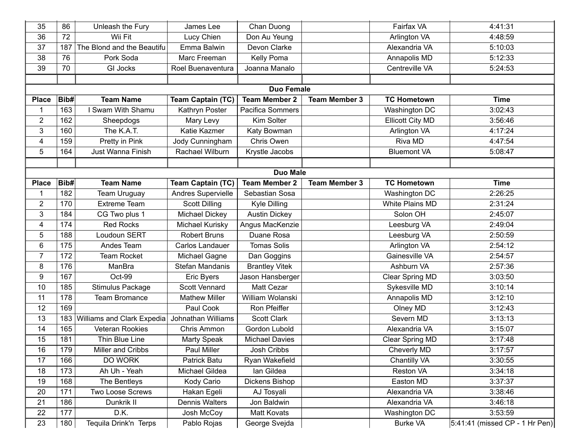| 35                      | 86                | Unleash the Fury           | James Lee                | Chan Duong            |                      | Fairfax VA              | 4:41:31                        |  |  |  |
|-------------------------|-------------------|----------------------------|--------------------------|-----------------------|----------------------|-------------------------|--------------------------------|--|--|--|
| 36                      | 72                | Wii Fit                    | Lucy Chien               | Don Au Yeung          |                      | Arlington VA            | 4:48:59                        |  |  |  |
| 37                      | 187               | The Blond and the Beautifu | Emma Balwin              | Devon Clarke          |                      | Alexandria VA           | 5:10:03                        |  |  |  |
| 38                      | 76                | Pork Soda                  | Marc Freeman             | Kelly Poma            |                      | Annapolis MD            | 5:12:33                        |  |  |  |
| 39                      | 70                | <b>GI Jocks</b>            | Roel Buenaventura        | Joanna Manalo         |                      | Centreville VA          | 5:24:53                        |  |  |  |
|                         |                   |                            |                          |                       |                      |                         |                                |  |  |  |
|                         | <b>Duo Female</b> |                            |                          |                       |                      |                         |                                |  |  |  |
| <b>Place</b>            | Bib#              | <b>Team Name</b>           | <b>Team Captain (TC)</b> | <b>Team Member 2</b>  | <b>Team Member 3</b> | <b>TC Hometown</b>      | <b>Time</b>                    |  |  |  |
| 1                       | 163               | I Swam With Shamu          | Kathryn Poster           | Pacifica Sommers      |                      | Washington DC           | 3:02:43                        |  |  |  |
| $\overline{2}$          | 162               | Sheepdogs                  | Mary Levy                | Kim Solter            |                      | <b>Ellicott City MD</b> | 3:56:46                        |  |  |  |
| 3                       | 160               | The K.A.T.                 | Katie Kazmer             | Katy Bowman           |                      | Arlington VA            | 4:17:24                        |  |  |  |
| $\overline{\mathbf{4}}$ | 159               | Pretty in Pink             | Jody Cunningham          | Chris Owen            |                      | Riva MD                 | 4:47:54                        |  |  |  |
| 5                       | 164               | Just Wanna Finish          | Rachael Wilburn          | Krystle Jacobs        |                      | <b>Bluemont VA</b>      | 5:08:47                        |  |  |  |
|                         |                   |                            |                          |                       |                      |                         |                                |  |  |  |
|                         | <b>Duo Male</b>   |                            |                          |                       |                      |                         |                                |  |  |  |
| <b>Place</b>            | Bib#              | <b>Team Name</b>           | <b>Team Captain (TC)</b> | <b>Team Member 2</b>  | <b>Team Member 3</b> | <b>TC Hometown</b>      | <b>Time</b>                    |  |  |  |
| 1                       | 182               | <b>Team Uruguay</b>        | Andres Supervielle       | Sebastian Sosa        |                      | Washington DC           | 2:26:25                        |  |  |  |
| $\overline{2}$          | 170               | <b>Extreme Team</b>        | <b>Scott Dilling</b>     | Kyle Dilling          |                      | White Plains MD         | 2:31:24                        |  |  |  |
| 3                       | 184               | CG Two plus 1              | Michael Dickey           | <b>Austin Dickey</b>  |                      | Solon OH                | 2:45:07                        |  |  |  |
| $\overline{\mathbf{4}}$ | 174               | <b>Red Rocks</b>           | Michael Kurisky          | Angus MacKenzie       |                      | Leesburg VA             | 2:49:04                        |  |  |  |
| 5                       | 188               | Loudoun SERT               | <b>Robert Bruns</b>      | Duane Rosa            |                      | Leesburg VA             | 2:50:59                        |  |  |  |
| 6                       | 175               | Andes Team                 | Carlos Landauer          | <b>Tomas Solis</b>    |                      | Arlington VA            | 2:54:12                        |  |  |  |
| $\overline{7}$          | 172               | <b>Team Rocket</b>         | Michael Gagne            | Dan Goggins           |                      | Gainesville VA          | 2:54:57                        |  |  |  |
| 8                       | 176               | ManBra                     | Stefan Mandanis          | <b>Brantley Vitek</b> |                      | Ashburn VA              | 2:57:36                        |  |  |  |
| 9                       | 167               | Oct-99                     | Eric Byers               | Jason Hansberger      |                      | Clear Spring MD         | 3:03:50                        |  |  |  |
| 10                      | 185               | <b>Stimulus Package</b>    | Scott Vennard            | Matt Cezar            |                      | Sykesville MD           | 3:10:14                        |  |  |  |
| 11                      | 178               | <b>Team Bromance</b>       | <b>Mathew Miller</b>     | William Wolanski      |                      | Annapolis MD            | 3:12:10                        |  |  |  |
| 12                      | 169               |                            | Paul Cook                | Ron Pfeiffer          |                      | Olney MD                | 3:12:43                        |  |  |  |
| 13                      | 183               | Williams and Clark Expedia | Johnathan Williams       | <b>Scott Clark</b>    |                      | Severn MD               | 3:13:13                        |  |  |  |
| 14                      | 165               | Veteran Rookies            | Chris Ammon              | Gordon Lubold         |                      | Alexandria VA           | 3:15:07                        |  |  |  |
| 15                      | 181               | Thin Blue Line             | Marty Speak              | <b>Michael Davies</b> |                      | Clear Spring MD         | 3:17:48                        |  |  |  |
| 16                      | 179               | Miller and Cribbs          | <b>Paul Miller</b>       | Josh Cribbs           |                      | <b>Cheverly MD</b>      | 3:17:57                        |  |  |  |
| 17                      | 166               | DO WORK                    | Patrick Batu             | Ryan Wakefield        |                      | Chantilly VA            | 3:30:55                        |  |  |  |
| 18                      | 173               | Ah Uh - Yeah               | Michael Gildea           | lan Gildea            |                      | Reston VA               | 3:34:18                        |  |  |  |
| 19                      | 168               | The Bentleys               | Kody Cario               | Dickens Bishop        |                      | Easton MD               | 3:37:37                        |  |  |  |
| 20                      | 171               | Two Loose Screws           | Hakan Egeli              | AJ Tosyali            |                      | Alexandria VA           | 3:38:46                        |  |  |  |
| 21                      | 186               | Dunkrik II                 | Dennis Walters           | Jon Baldwin           |                      | Alexandria VA           | 3:46:18                        |  |  |  |
| 22                      | 177               | D.K.                       | Josh McCoy               | Matt Kovats           |                      | Washington DC           | 3:53:59                        |  |  |  |
| 23                      | 180               | Tequila Drink'n Terps      | Pablo Rojas              | George Svejda         |                      | <b>Burke VA</b>         | 5:41:41 (missed CP - 1 Hr Pen) |  |  |  |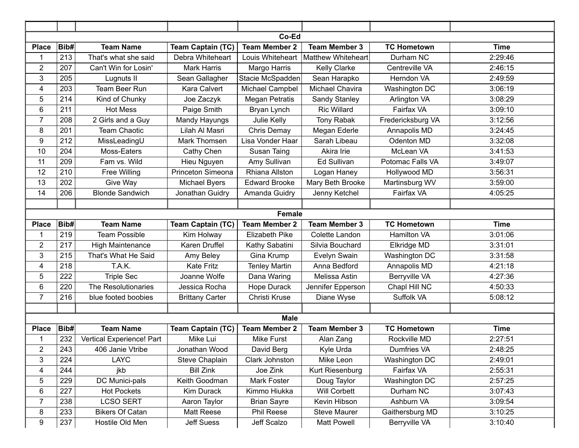| Co-Ed                   |                  |                           |                          |                       |                        |                      |             |  |  |
|-------------------------|------------------|---------------------------|--------------------------|-----------------------|------------------------|----------------------|-------------|--|--|
| <b>Place</b>            | Bib#             | <b>Team Name</b>          | <b>Team Captain (TC)</b> | <b>Team Member 2</b>  | <b>Team Member 3</b>   | <b>TC Hometown</b>   | <b>Time</b> |  |  |
| 1                       | 213              | That's what she said      | Debra Whiteheart         | Louis Whiteheart      | Matthew Whiteheart     | Durham NC            | 2:29:46     |  |  |
| $\overline{2}$          | 207              | Can't Win for Losin'      | <b>Mark Harris</b>       | Margo Harris          | <b>Kelly Clarke</b>    | Centreville VA       | 2:46:15     |  |  |
| 3                       | 205              | Lugnuts II                | Sean Gallagher           | Stacie McSpadden      | Sean Harapko           | Herndon VA           | 2:49:59     |  |  |
| 4                       | 203              | Team Beer Run             | Kara Calvert             | Michael Campbel       | <b>Michael Chavira</b> | Washington DC        | 3:06:19     |  |  |
| 5                       | 214              | Kind of Chunky            | Joe Zaczyk               | <b>Megan Petratis</b> | Sandy Stanley          | Arlington VA         | 3:08:29     |  |  |
| 6                       | 211              | <b>Hot Mess</b>           | Paige Smith              | Bryan Lynch           | <b>Ric Willard</b>     | Fairfax VA           | 3:09:10     |  |  |
| $\overline{7}$          | 208              | 2 Girls and a Guy         | Mandy Hayungs            | Julie Kelly           | <b>Tony Rabak</b>      | Fredericksburg VA    | 3:12:56     |  |  |
| 8                       | 201              | <b>Team Chaotic</b>       | Lilah Al Masri           | Chris Demay           | Megan Ederle           | Annapolis MD         | 3:24:45     |  |  |
| 9                       | 212              | MissLeadingU              | Mark Thomsen             | Lisa Vonder Haar      | Sarah Libeau           | Odenton MD           | 3:32:08     |  |  |
| 10                      | 204              | Moss-Eaters               | Cathy Chen               | Susan Taing           | Akira Irie             | McLean VA            | 3:41:53     |  |  |
| 11                      | 209              | Fam vs. Wild              | Hieu Nguyen              | Amy Sullivan          | Ed Sullivan            | Potomac Falls VA     | 3:49:07     |  |  |
| 12                      | 210              | Free Willing              | Princeton Simeona        | Rhiana Allston        | Logan Haney            | Hollywood MD         | 3:56:31     |  |  |
| 13                      | 202              | Give Way                  | Michael Byers            | <b>Edward Brooke</b>  | Mary Beth Brooke       | Martinsburg WV       | 3:59:00     |  |  |
| 14                      | 206              | <b>Blonde Sandwich</b>    | Jonathan Guidry          | Amanda Guidry         | Jenny Ketchel          | Fairfax VA           | 4:05:25     |  |  |
|                         |                  |                           |                          |                       |                        |                      |             |  |  |
|                         |                  |                           |                          | <b>Female</b>         |                        |                      |             |  |  |
| <b>Place</b>            | Bib#             | <b>Team Name</b>          | <b>Team Captain (TC)</b> | <b>Team Member 2</b>  | <b>Team Member 3</b>   | <b>TC Hometown</b>   | <b>Time</b> |  |  |
| $\mathbf 1$             | 219              | <b>Team Possible</b>      | Kim Holway               | Elizabeth Pike        | Colette Landon         | Hamilton VA          | 3:01:06     |  |  |
| $\overline{2}$          | 217              | High Maintenance          | Karen Druffel            | Kathy Sabatini        | Silvia Bouchard        | Elkridge MD          | 3:31:01     |  |  |
| 3                       | 215              | That's What He Said       | Amy Beley                | Gina Krump            | Evelyn Swain           | Washington DC        | 3:31:58     |  |  |
| $\overline{\mathbf{4}}$ | 218              | T.A.K.                    | <b>Kate Fritz</b>        | <b>Tenley Martin</b>  | Anna Bedford           | Annapolis MD         | 4:21:18     |  |  |
| 5                       | 222              | <b>Triple Sec</b>         | Joanne Wolfe             | Dana Waring           | Melissa Astin          | <b>Berryville VA</b> | 4:27:36     |  |  |
| $6\phantom{1}$          | 220              | The Resolutionaries       | Jessica Rocha            | <b>Hope Durack</b>    | Jennifer Epperson      | Chapl Hill NC        | 4:50:33     |  |  |
| $\overline{7}$          | 216              | blue footed boobies       | <b>Brittany Carter</b>   | Christi Kruse         | Diane Wyse             | Suffolk VA           | 5:08:12     |  |  |
|                         |                  |                           |                          |                       |                        |                      |             |  |  |
| <b>Male</b>             |                  |                           |                          |                       |                        |                      |             |  |  |
| <b>Place</b>            | Bib#             | <b>Team Name</b>          | <b>Team Captain (TC)</b> | <b>Team Member 2</b>  | <b>Team Member 3</b>   | <b>TC Hometown</b>   | <b>Time</b> |  |  |
| 1                       | 232              | Vertical Experience! Part | Mike Lui                 | Mike Furst            | Alan Zang              | Rockville MD         | 2:27:51     |  |  |
| $\overline{c}$          | $\overline{243}$ | 406 Janie Vtribe          | Jonathan Wood            | David Berg            | Kyle Urda              | Dumfries VA          | 2:48:25     |  |  |
| 3                       | 224              | <b>LAYC</b>               | Steve Chaplain           | Clark Johnston        | Mike Leon              | Washington DC        | 2:49:01     |  |  |
| $\overline{4}$          | 244              | jkb                       | <b>Bill Zink</b>         | Joe Zink              | Kurt Riesenburg        | Fairfax VA           | 2:55:31     |  |  |
| $\sqrt{5}$              | 229              | DC Munici-pals            | Keith Goodman            | Mark Foster           | Doug Taylor            | Washington DC        | 2:57:25     |  |  |
| $\,6\,$                 | 227              | <b>Hot Pockets</b>        | Kim Durack               | Kimmo Hiukka          | <b>Will Corbett</b>    | Durham NC            | 3:07:43     |  |  |
| $\overline{7}$          | 238              | <b>LCSO SERT</b>          | Aaron Taylor             | <b>Brian Sayre</b>    | Kevin Hibson           | Ashburn VA           | 3:09:54     |  |  |
| 8                       | 233              | <b>Bikers Of Catan</b>    | Matt Reese               | Phil Reese            | <b>Steve Maurer</b>    | Gaithersburg MD      | 3:10:25     |  |  |
| 9                       | 237              | Hostile Old Men           | Jeff Suess               | Jeff Scalzo           | Matt Powell            | Berryville VA        | 3:10:40     |  |  |